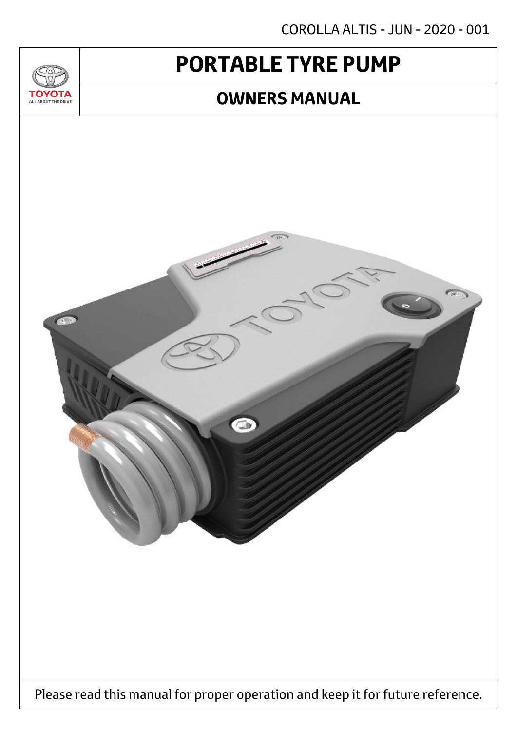COROLLA ALTIS - JUN - 2020 - 001

# **PORTABLE TYRE PUMP**

 $T_{\Delta}$ 

**TOYOTA** ALL ABOUT THE DRIVE

### **OWNERS MANUAL**

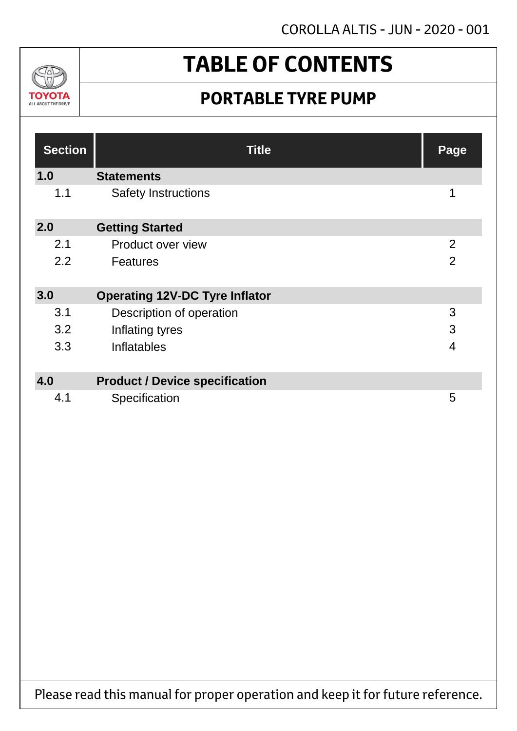

# **TABLE OF CONTENTS**

## **PORTABLE TYRE PUMP**

| <b>Section</b> | <b>Title</b>                          | Page           |
|----------------|---------------------------------------|----------------|
| 1.0            | <b>Statements</b>                     |                |
| 1.1            | <b>Safety Instructions</b>            | 1              |
| 2.0            | <b>Getting Started</b>                |                |
| 2.1            | Product over view                     | 2              |
| 2.2            | <b>Features</b>                       | $\overline{2}$ |
| 3.0            | <b>Operating 12V-DC Tyre Inflator</b> |                |
| 3.1            | Description of operation              | 3              |
| 3.2            | Inflating tyres                       | 3              |
| 3.3            | <b>Inflatables</b>                    | $\overline{4}$ |
| 4.0            | <b>Product / Device specification</b> |                |
| 4.1            | Specification                         | 5              |

Please read this manual for proper operation and keep it for future reference.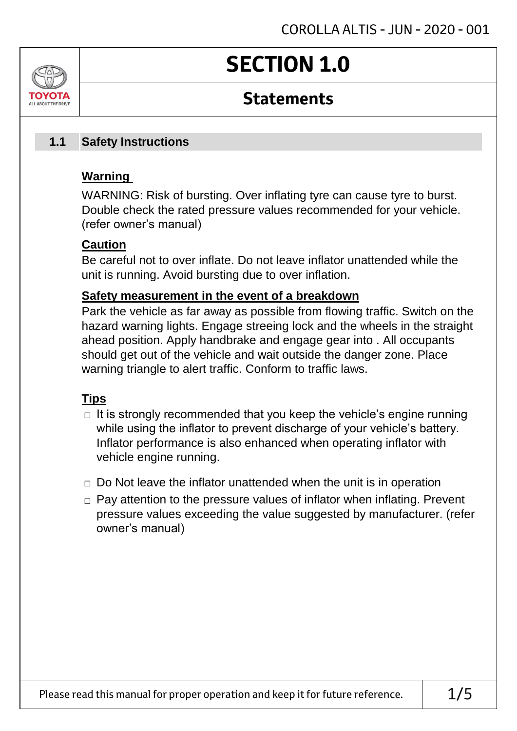# **SECTION 1.0**

### **Statements**

#### **Safety Instructions 1.1**

### **Warning**

ALL AROUT THE DRIV

WARNING: Risk of bursting. Over inflating tyre can cause tyre to burst. Double check the rated pressure values recommended for your vehicle. (refer owner's manual)

### **Caution**

Be careful not to over inflate. Do not leave inflator unattended while the unit is running. Avoid bursting due to over inflation.

### **Safety measurement in the event of a breakdown**

Park the vehicle as far away as possible from flowing traffic. Switch on the hazard warning lights. Engage streeing lock and the wheels in the straight ahead position. Apply handbrake and engage gear into . All occupants should get out of the vehicle and wait outside the danger zone. Place warning triangle to alert traffic. Conform to traffic laws.

### **Tips**

- $\Box$  It is strongly recommended that you keep the vehicle's engine running while using the inflator to prevent discharge of your vehicle's battery. Inflator performance is also enhanced when operating inflator with vehicle engine running.
- $\Box$  Do Not leave the inflator unattended when the unit is in operation
- □ Pay attention to the pressure values of inflator when inflating. Prevent pressure values exceeding the value suggested by manufacturer. (refer owner's manual)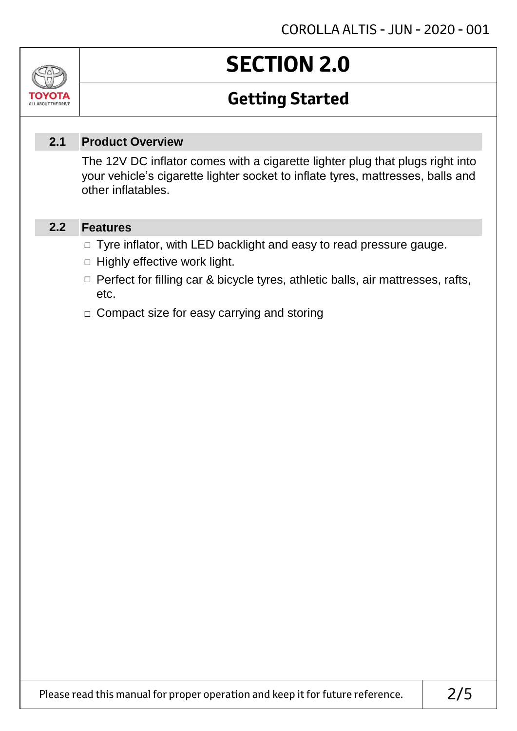# **SECTION 2.0**

## **Getting Started**

#### **Product Overview 2.1**

The 12V DC inflator comes with a cigarette lighter plug that plugs right into your vehicle's cigarette lighter socket to inflate tyres, mattresses, balls and other inflatables.

#### **Features 2.2**

Jn

TOVOTA ALL ABOUT THE DRIVE

- □ Tyre inflator, with LED backlight and easy to read pressure gauge.
- $\Box$  Highly effective work light.
- □ Perfect for filling car & bicycle tyres, athletic balls, air mattresses, rafts, etc.
- □ Compact size for easy carrying and storing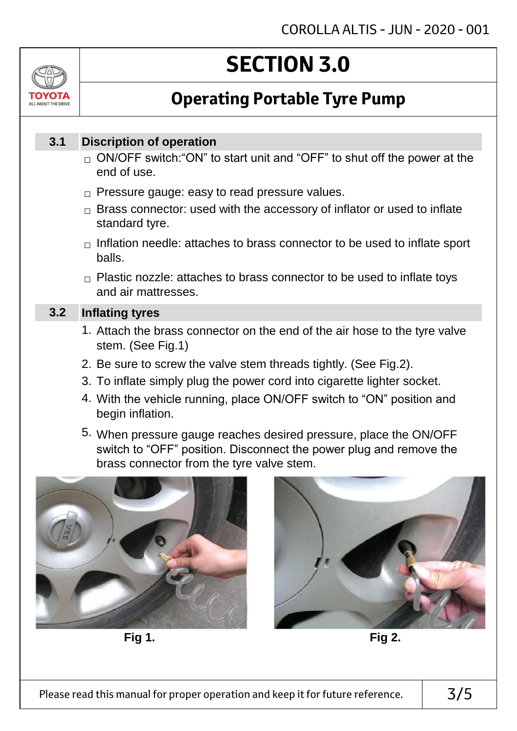# **SECTION 3.0**

## **Operating Portable Tyre Pump**

#### **Discription of operation 3.1**

ALL AROUT THE DRIV

- $_\square$  ON/OFF switch:"ON" to start unit and "OFF" to shut off the power at the end of use.
- $\Box$  Pressure gauge: easy to read pressure values.
- $\Box$  Brass connector: used with the accessory of inflator or used to inflate standard tyre.
- $\Box$  Inflation needle: attaches to brass connector to be used to inflate sport balls.
- $\Box$  Plastic nozzle: attaches to brass connector to be used to inflate toys and air mattresses.

#### **Inflating tyres 3.2**

- 1. Attach the brass connector on the end of the air hose to the tyre valve stem. (See Fig.1)
- 2. Be sure to screw the valve stem threads tightly. (See Fig.2).
- 3. To inflate simply plug the power cord into cigarette lighter socket.
- 4. With the vehicle running, place ON/OFF switch to "ON" position and begin inflation.
- 5. When pressure gauge reaches desired pressure, place the ON/OFF switch to "OFF" position. Disconnect the power plug and remove the brass connector from the tyre valve stem.



**Fig 1. Fig 2.**

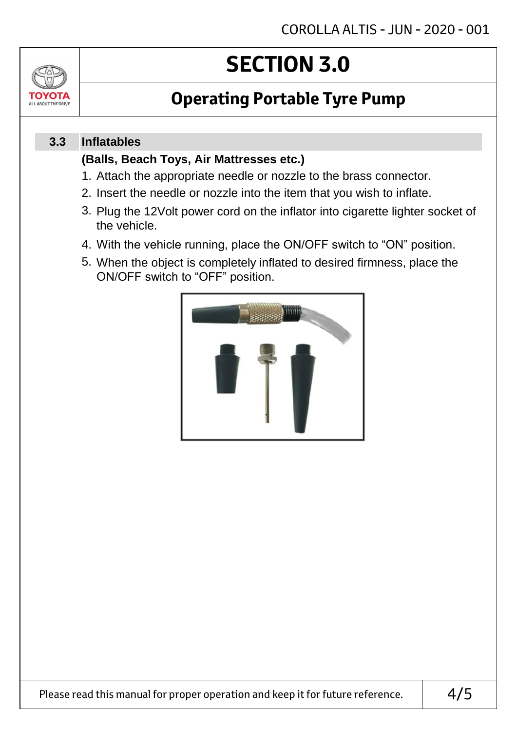# **SECTION 3.0**

## **Operating Portable Tyre Pump**

#### **Inflatables 3.3**

TOVOTZ ALL ABOUT THE DRIVE

### **(Balls, Beach Toys, Air Mattresses etc.)**

- 1. Attach the appropriate needle or nozzle to the brass connector.
- 2. Insert the needle or nozzle into the item that you wish to inflate.
- 3. Plug the 12Volt power cord on the inflator into cigarette lighter socket of the vehicle.
- 4. With the vehicle running, place the ON/OFF switch to "ON" position.
- 5. When the object is completely inflated to desired firmness, place the ON/OFF switch to "OFF" position.